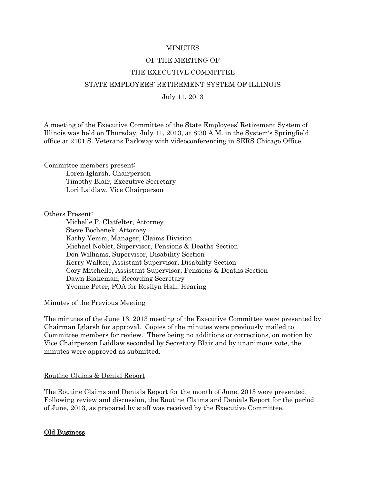## **MINUTES**

# OF THE MEETING OF THE EXECUTIVE COMMITTEE STATE EMPLOYEES' RETIREMENT SYSTEM OF ILLINOIS July 11, 2013

A meeting of the Executive Committee of the State Employees' Retirement System of Illinois was held on Thursday, July 11, 2013, at 8:30 A.M. in the System's Springfield office at 2101 S. Veterans Parkway with videoconferencing in SERS Chicago Office.

Committee members present: Loren Iglarsh, Chairperson Timothy Blair, Executive Secretary Lori Laidlaw, Vice Chairperson

Others Present:

 Michelle P. Clatfelter, Attorney Steve Bochenek, Attorney Kathy Yemm, Manager, Claims Division Michael Noblet, Supervisor, Pensions & Deaths Section Don Williams, Supervisor, Disability Section Kerry Walker, Assistant Supervisor, Disability Section Cory Mitchelle, Assistant Supervisor, Pensions & Deaths Section Dawn Blakeman, Recording Secretary Yvonne Peter, POA for Rosilyn Hall, Hearing

Minutes of the Previous Meeting

The minutes of the June 13, 2013 meeting of the Executive Committee were presented by Chairman Iglarsh for approval. Copies of the minutes were previously mailed to Committee members for review. There being no additions or corrections, on motion by Vice Chairperson Laidlaw seconded by Secretary Blair and by unanimous vote, the minutes were approved as submitted.

### Routine Claims & Denial Report

The Routine Claims and Denials Report for the month of June, 2013 were presented. Following review and discussion, the Routine Claims and Denials Report for the period of June, 2013, as prepared by staff was received by the Executive Committee.

### Old Business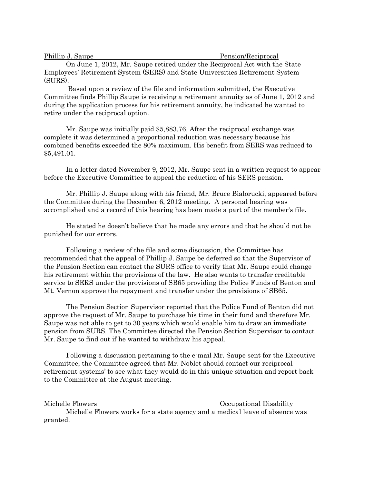| Phillip J. Saupe |  | Pension/Reciprocal |  |
|------------------|--|--------------------|--|
|                  |  |                    |  |

 On June 1, 2012, Mr. Saupe retired under the Reciprocal Act with the State Employees' Retirement System (SERS) and State Universities Retirement System (SURS).

 Based upon a review of the file and information submitted, the Executive Committee finds Phillip Saupe is receiving a retirement annuity as of June 1, 2012 and during the application process for his retirement annuity, he indicated he wanted to retire under the reciprocal option.

 Mr. Saupe was initially paid \$5,883.76. After the reciprocal exchange was complete it was determined a proportional reduction was necessary because his combined benefits exceeded the 80% maximum. His benefit from SERS was reduced to \$5,491.01.

 In a letter dated November 9, 2012, Mr. Saupe sent in a written request to appear before the Executive Committee to appeal the reduction of his SERS pension.

 Mr. Phillip J. Saupe along with his friend, Mr. Bruce Bialorucki, appeared before the Committee during the December 6, 2012 meeting. A personal hearing was accomplished and a record of this hearing has been made a part of the member's file.

 He stated he doesn't believe that he made any errors and that he should not be punished for our errors.

 Following a review of the file and some discussion, the Committee has recommended that the appeal of Phillip J. Saupe be deferred so that the Supervisor of the Pension Section can contact the SURS office to verify that Mr. Saupe could change his retirement within the provisions of the law. He also wants to transfer creditable service to SERS under the provisions of SB65 providing the Police Funds of Benton and Mt. Vernon approve the repayment and transfer under the provisions of SB65.

 The Pension Section Supervisor reported that the Police Fund of Benton did not approve the request of Mr. Saupe to purchase his time in their fund and therefore Mr. Saupe was not able to get to 30 years which would enable him to draw an immediate pension from SURS. The Committee directed the Pension Section Supervisor to contact Mr. Saupe to find out if he wanted to withdraw his appeal.

 Following a discussion pertaining to the e-mail Mr. Saupe sent for the Executive Committee, the Committee agreed that Mr. Noblet should contact our reciprocal retirement systems' to see what they would do in this unique situation and report back to the Committee at the August meeting.

Michelle Flowers **Community Occupational Disability** 

 Michelle Flowers works for a state agency and a medical leave of absence was granted.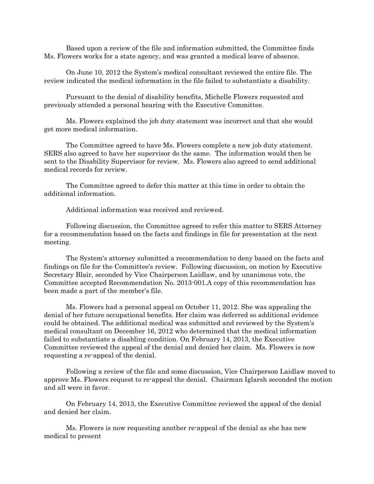Based upon a review of the file and information submitted, the Committee finds Ms. Flowers works for a state agency, and was granted a medical leave of absence.

 On June 10, 2012 the System's medical consultant reviewed the entire file. The review indicated the medical information in the file failed to substantiate a disability.

 Pursuant to the denial of disability benefits, Michelle Flowers requested and previously attended a personal hearing with the Executive Committee.

 Ms. Flowers explained the job duty statement was incorrect and that she would get more medical information.

 The Committee agreed to have Ms. Flowers complete a new job duty statement. SERS also agreed to have her supervisor do the same. The information would then be sent to the Disability Supervisor for review. Ms. Flowers also agreed to send additional medical records for review.

 The Committee agreed to defer this matter at this time in order to obtain the additional information.

Additional information was received and reviewed.

 Following discussion, the Committee agreed to refer this matter to SERS Attorney for a recommendation based on the facts and findings in file for presentation at the next meeting.

 The System's attorney submitted a recommendation to deny based on the facts and findings on file for the Committee's review. Following discussion, on motion by Executive Secretary Blair, seconded by Vice Chairperson Laidlaw, and by unanimous vote, the Committee accepted Recommendation No. 2013-001.A copy of this recommendation has been made a part of the member's file.

 Ms. Flowers had a personal appeal on October 11, 2012. She was appealing the denial of her future occupational benefits. Her claim was deferred so additional evidence could be obtained. The additional medical was submitted and reviewed by the System's medical consultant on December 16, 2012 who determined that the medical information failed to substantiate a disabling condition. On February 14, 2013, the Executive Committee reviewed the appeal of the denial and denied her claim. Ms. Flowers is now requesting a re-appeal of the denial.

 Following a review of the file and some discussion, Vice Chairperson Laidlaw moved to approve Ms. Flowers request to re-appeal the denial. Chairman Iglarsh seconded the motion and all were in favor.

 On February 14, 2013, the Executive Committee reviewed the appeal of the denial and denied her claim.

 Ms. Flowers is now requesting another re-appeal of the denial as she has new medical to present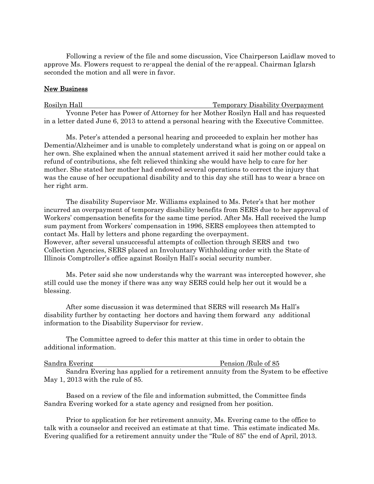Following a review of the file and some discussion, Vice Chairperson Laidlaw moved to approve Ms. Flowers request to re-appeal the denial of the re-appeal. Chairman Iglarsh seconded the motion and all were in favor.

# New Business

Rosilyn Hall Temporary Disability Overpayment Yvonne Peter has Power of Attorney for her Mother Rosilyn Hall and has requested in a letter dated June 6, 2013 to attend a personal hearing with the Executive Committee.

 Ms. Peter's attended a personal hearing and proceeded to explain her mother has Dementia/Alzheimer and is unable to completely understand what is going on or appeal on her own. She explained when the annual statement arrived it said her mother could take a refund of contributions, she felt relieved thinking she would have help to care for her mother. She stated her mother had endowed several operations to correct the injury that was the cause of her occupational disability and to this day she still has to wear a brace on her right arm.

 The disability Supervisor Mr. Williams explained to Ms. Peter's that her mother incurred an overpayment of temporary disability benefits from SERS due to her approval of Workers' compensation benefits for the same time period. After Ms. Hall received the lump sum payment from Workers' compensation in 1996, SERS employees then attempted to contact Ms. Hall by letters and phone regarding the overpayment. However, after several unsuccessful attempts of collection through SERS and two Collection Agencies, SERS placed an Involuntary Withholding order with the State of Illinois Comptroller's office against Rosilyn Hall's social security number.

 Ms. Peter said she now understands why the warrant was intercepted however, she still could use the money if there was any way SERS could help her out it would be a blessing.

 After some discussion it was determined that SERS will research Ms Hall's disability further by contacting her doctors and having them forward any additional information to the Disability Supervisor for review.

 The Committee agreed to defer this matter at this time in order to obtain the additional information.

| Sandra Evering |
|----------------|
|                |

Pension /Rule of 85

 Sandra Evering has applied for a retirement annuity from the System to be effective May 1, 2013 with the rule of 85.

 Based on a review of the file and information submitted, the Committee finds Sandra Evering worked for a state agency and resigned from her position.

 Prior to application for her retirement annuity, Ms. Evering came to the office to talk with a counselor and received an estimate at that time. This estimate indicated Ms. Evering qualified for a retirement annuity under the "Rule of 85" the end of April, 2013.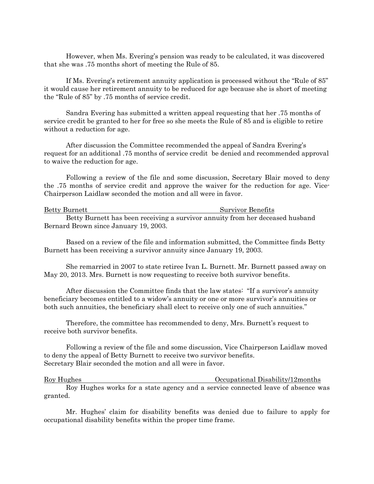However, when Ms. Evering's pension was ready to be calculated, it was discovered that she was .75 months short of meeting the Rule of 85.

 If Ms. Evering's retirement annuity application is processed without the "Rule of 85" it would cause her retirement annuity to be reduced for age because she is short of meeting the "Rule of 85" by .75 months of service credit.

 Sandra Evering has submitted a written appeal requesting that her .75 months of service credit be granted to her for free so she meets the Rule of 85 and is eligible to retire without a reduction for age.

 After discussion the Committee recommended the appeal of Sandra Evering's request for an additional .75 months of service credit be denied and recommended approval to waive the reduction for age.

 Following a review of the file and some discussion, Secretary Blair moved to deny the .75 months of service credit and approve the waiver for the reduction for age. Vice-Chairperson Laidlaw seconded the motion and all were in favor.

#### Betty Burnett Survivor Benefits

 Betty Burnett has been receiving a survivor annuity from her deceased husband Bernard Brown since January 19, 2003.

 Based on a review of the file and information submitted, the Committee finds Betty Burnett has been receiving a survivor annuity since January 19, 2003.

 She remarried in 2007 to state retiree Ivan L. Burnett. Mr. Burnett passed away on May 20, 2013. Mrs. Burnett is now requesting to receive both survivor benefits.

 After discussion the Committee finds that the law states: "If a survivor's annuity beneficiary becomes entitled to a widow's annuity or one or more survivor's annuities or both such annuities, the beneficiary shall elect to receive only one of such annuities."

 Therefore, the committee has recommended to deny, Mrs. Burnett's request to receive both survivor benefits.

 Following a review of the file and some discussion, Vice Chairperson Laidlaw moved to deny the appeal of Betty Burnett to receive two survivor benefits. Secretary Blair seconded the motion and all were in favor.

Roy Hughes Occupational Disability/12months Roy Hughes works for a state agency and a service connected leave of absence was granted.

Mr. Hughes' claim for disability benefits was denied due to failure to apply for occupational disability benefits within the proper time frame.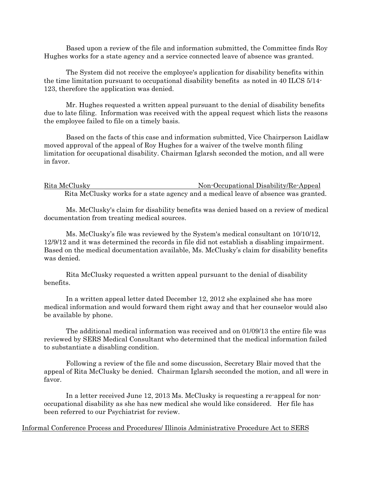Based upon a review of the file and information submitted, the Committee finds Roy Hughes works for a state agency and a service connected leave of absence was granted.

The System did not receive the employee's application for disability benefits within the time limitation pursuant to occupational disability benefits as noted in 40 ILCS 5/14- 123, therefore the application was denied.

Mr. Hughes requested a written appeal pursuant to the denial of disability benefits due to late filing. Information was received with the appeal request which lists the reasons the employee failed to file on a timely basis.

 Based on the facts of this case and information submitted, Vice Chairperson Laidlaw moved approval of the appeal of Roy Hughes for a waiver of the twelve month filing limitation for occupational disability. Chairman Iglarsh seconded the motion, and all were in favor.

Rita McClusky Non-Occupational Disability/Re-Appeal Rita McClusky works for a state agency and a medical leave of absence was granted.

 Ms. McClusky's claim for disability benefits was denied based on a review of medical documentation from treating medical sources.

 Ms. McClusky's file was reviewed by the System's medical consultant on 10/10/12, 12/9/12 and it was determined the records in file did not establish a disabling impairment. Based on the medical documentation available, Ms. McClusky's claim for disability benefits was denied.

 Rita McClusky requested a written appeal pursuant to the denial of disability benefits.

 In a written appeal letter dated December 12, 2012 she explained she has more medical information and would forward them right away and that her counselor would also be available by phone.

 The additional medical information was received and on 01/09/13 the entire file was reviewed by SERS Medical Consultant who determined that the medical information failed to substantiate a disabling condition.

 Following a review of the file and some discussion, Secretary Blair moved that the appeal of Rita McClusky be denied. Chairman Iglarsh seconded the motion, and all were in favor.

 In a letter received June 12, 2013 Ms. McClusky is requesting a re-appeal for nonoccupational disability as she has new medical she would like considered. Her file has been referred to our Psychiatrist for review.

Informal Conference Process and Procedures/ Illinois Administrative Procedure Act to SERS